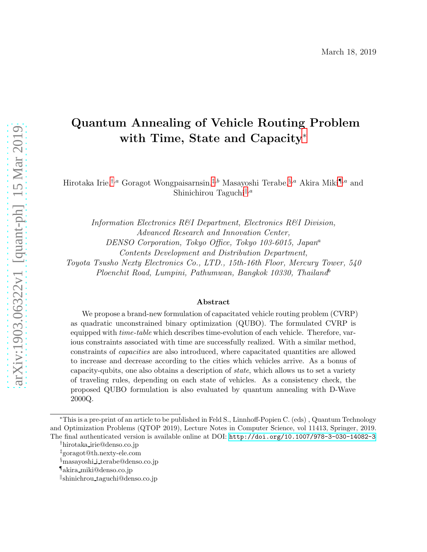# Quantum Annealing of Vehicle Routing Problem with Time, State and Capacity[∗](#page-0-0)

Hirotaka Irie,<sup>[†](#page-0-1),a</sup> Goragot Wongpaisarnsin,<sup>[‡](#page-0-2),b</sup> Masayoshi Terabe,<sup>[§](#page-0-3),a</sup> Akira Miki<sup>[¶](#page-0-4),a</sup> and Shinichirou Taguchi<sup>||,*a*</sup>

Information Electronics R&I Department, Electronics R&I Division, Advanced Research and Innovation Center, DENSO Corporation, Tokyo Office, Tokyo 103-6015, Japan<sup>a</sup> Contents Development and Distribution Department, Toyota Tsusho Nexty Electronics Co., LTD., 15th-16th Floor, Mercury Tower, 540 Ploenchit Road, Lumpini, Pathumwan, Bangkok 10330, Thailand<sup>b</sup>

#### Abstract

We propose a brand-new formulation of capacitated vehicle routing problem (CVRP) as quadratic unconstrained binary optimization (QUBO). The formulated CVRP is equipped with *time-table* which describes time-evolution of each vehicle. Therefore, various constraints associated with time are successfully realized. With a similar method, constraints of capacities are also introduced, where capacitated quantities are allowed to increase and decrease according to the cities which vehicles arrive. As a bonus of capacity-qubits, one also obtains a description of state, which allows us to set a variety of traveling rules, depending on each state of vehicles. As a consistency check, the proposed QUBO formulation is also evaluated by quantum annealing with D-Wave 2000Q.

<span id="page-0-0"></span><sup>∗</sup>This is a pre-print of an article to be published in Feld S., Linnhoff-Popien C. (eds) , Quantum Technology and Optimization Problems (QTOP 2019), Lecture Notes in Computer Science, vol 11413, Springer, 2019. The final authenticated version is available online at DOI: <http://doi.org/10.1007/978-3-030-14082-3>

<sup>†</sup>hirotaka irie@denso.co.jp

<span id="page-0-1"></span><sup>‡</sup>goragot@th.nexty-ele.com

<span id="page-0-2"></span><sup>§</sup>masayoshi i terabe@denso.co.jp

<span id="page-0-3"></span><sup>¶</sup>akira miki@denso.co.jp

<span id="page-0-5"></span><span id="page-0-4"></span>k shinichrou taguchi@denso.co.jp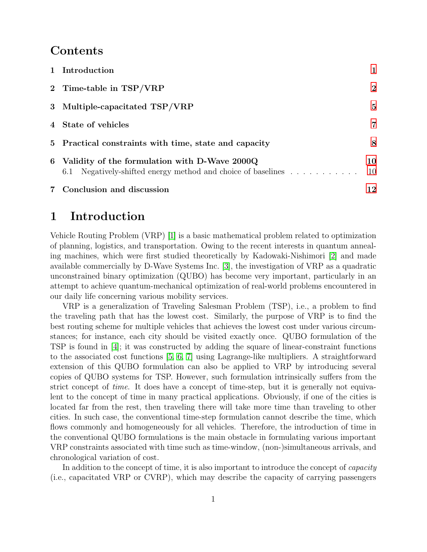#### Contents

| 7 Conclusion and discussion                                                                                        | 12       |
|--------------------------------------------------------------------------------------------------------------------|----------|
| 6 Validity of the formulation with D-Wave 2000Q<br>Negatively-shifted energy method and choice of baselines<br>6.1 | 10<br>10 |
| 5 Practical constraints with time, state and capacity                                                              | 8        |
| 4 State of vehicles                                                                                                | 7        |
| 3 Multiple-capacitated TSP/VRP                                                                                     | 5        |
| 2 Time-table in TSP/VRP                                                                                            | $\bf{2}$ |
| 1 Introduction                                                                                                     |          |

## <span id="page-1-0"></span>1 Introduction

Vehicle Routing Problem (VRP) [\[1\]](#page-12-1) is a basic mathematical problem related to optimization of planning, logistics, and transportation. Owing to the recent interests in quantum annealing machines, which were first studied theoretically by Kadowaki-Nishimori [\[2\]](#page-13-0) and made available commercially by D-Wave Systems Inc. [\[3\]](#page-13-1), the investigation of VRP as a quadratic unconstrained binary optimization (QUBO) has become very important, particularly in an attempt to achieve quantum-mechanical optimization of real-world problems encountered in our daily life concerning various mobility services.

VRP is a generalization of Traveling Salesman Problem (TSP), i.e., a problem to find the traveling path that has the lowest cost. Similarly, the purpose of VRP is to find the best routing scheme for multiple vehicles that achieves the lowest cost under various circumstances; for instance, each city should be visited exactly once. QUBO formulation of the TSP is found in [\[4\]](#page-13-2); it was constructed by adding the square of linear-constraint functions to the associated cost functions [\[5,](#page-13-3) [6,](#page-13-4) [7\]](#page-13-5) using Lagrange-like multipliers. A straightforward extension of this QUBO formulation can also be applied to VRP by introducing several copies of QUBO systems for TSP. However, such formulation intrinsically suffers from the strict concept of time. It does have a concept of time-step, but it is generally not equivalent to the concept of time in many practical applications. Obviously, if one of the cities is located far from the rest, then traveling there will take more time than traveling to other cities. In such case, the conventional time-step formulation cannot describe the time, which flows commonly and homogeneously for all vehicles. Therefore, the introduction of time in the conventional QUBO formulations is the main obstacle in formulating various important VRP constraints associated with time such as time-window, (non-)simultaneous arrivals, and chronological variation of cost.

In addition to the concept of time, it is also important to introduce the concept of *capacity* (i.e., capacitated VRP or CVRP), which may describe the capacity of carrying passengers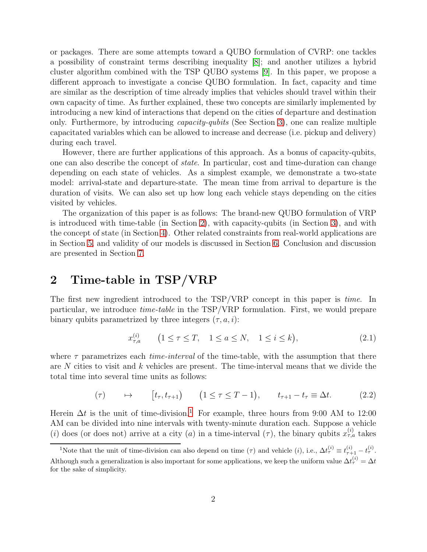or packages. There are some attempts toward a QUBO formulation of CVRP: one tackles a possibility of constraint terms describing inequality [\[8\]](#page-13-6); and another utilizes a hybrid cluster algorithm combined with the TSP QUBO systems [\[9\]](#page-13-7). In this paper, we propose a different approach to investigate a concise QUBO formulation. In fact, capacity and time are similar as the description of time already implies that vehicles should travel within their own capacity of time. As further explained, these two concepts are similarly implemented by introducing a new kind of interactions that depend on the cities of departure and destination only. Furthermore, by introducing capacity-qubits (See Section [3\)](#page-5-0), one can realize multiple capacitated variables which can be allowed to increase and decrease (i.e. pickup and delivery) during each travel.

However, there are further applications of this approach. As a bonus of capacity-qubits, one can also describe the concept of state. In particular, cost and time-duration can change depending on each state of vehicles. As a simplest example, we demonstrate a two-state model: arrival-state and departure-state. The mean time from arrival to departure is the duration of visits. We can also set up how long each vehicle stays depending on the cities visited by vehicles.

The organization of this paper is as follows: The brand-new QUBO formulation of VRP is introduced with time-table (in Section [2\)](#page-2-0), with capacity-qubits (in Section [3\)](#page-5-0), and with the concept of state (in Section [4\)](#page-7-0). Other related constraints from real-world applications are in Section [5,](#page-8-0) and validity of our models is discussed in Section [6.](#page-10-0) Conclusion and discussion are presented in Section [7.](#page-12-0)

## <span id="page-2-0"></span>2 Time-table in TSP/VRP

The first new ingredient introduced to the TSP/VRP concept in this paper is time. In particular, we introduce time-table in the TSP/VRP formulation. First, we would prepare binary qubits parametrized by three integers  $(\tau, a, i)$ :

<span id="page-2-2"></span>
$$
x_{\tau,a}^{(i)} \qquad \left(1 \le \tau \le T, \quad 1 \le a \le N, \quad 1 \le i \le k\right),\tag{2.1}
$$

where  $\tau$  parametrizes each *time-interval* of the time-table, with the assumption that there are  $N$  cities to visit and  $k$  vehicles are present. The time-interval means that we divide the total time into several time units as follows:

$$
(\tau) \qquad \mapsto \qquad [t_{\tau}, t_{\tau+1}) \qquad (1 \le \tau \le T-1), \qquad t_{\tau+1} - t_{\tau} \equiv \Delta t. \tag{2.2}
$$

Herein  $\Delta t$  is the unit of time-division.<sup>[1](#page-2-1)</sup> For example, three hours from 9:00 AM to 12:00 AM can be divided into nine intervals with twenty-minute duration each. Suppose a vehicle (i) does (or does not) arrive at a city (a) in a time-interval  $(\tau)$ , the binary qubits  $x_{\tau,a}^{(i)}$  takes

<span id="page-2-1"></span><sup>&</sup>lt;sup>1</sup>Note that the unit of time-division can also depend on time  $(\tau)$  and vehicle  $(i)$ , i.e.,  $\Delta t_{\tau}^{(i)} \equiv t_{\tau+1}^{(i)} - t_{\tau}^{(i)}$ . Although such a generalization is also important for some applications, we keep the uniform value  $\Delta t_{\tau}^{(i)} = \Delta t$ for the sake of simplicity.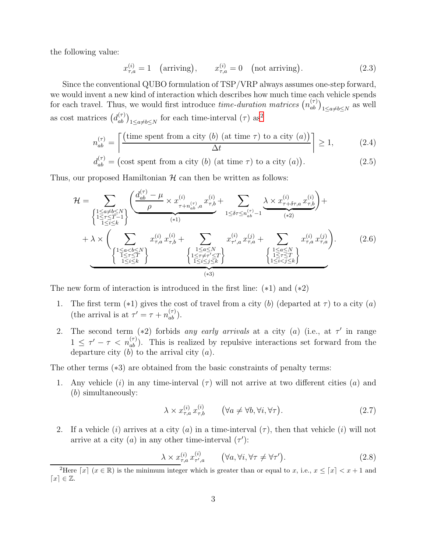the following value:

<span id="page-3-1"></span>
$$
x_{\tau,a}^{(i)} = 1 \quad \text{(arriving)}, \qquad x_{\tau,a}^{(i)} = 0 \quad \text{(not arriving)}.
$$
 (2.3)

Since the conventional QUBO formulation of TSP/VRP always assumes one-step forward, we would invent a new kind of interaction which describes how much time each vehicle spends for each travel. Thus, we would first introduce *time-duration matrices*  $(n_{ab}^{(\tau)})_{1 \le a \ne b \le N}$  as well as cost matrices  $(d_{ab}^{(\tau)})_{1 \le a \ne b \le N}$  for each time-interval  $(\tau)$  as<sup>[2](#page-3-0)</sup>

$$
n_{ab}^{(\tau)} = \left[ \frac{\text{(time spent from a city (b) (at time \tau) to a city (a))}}{\Delta t} \right] \ge 1,
$$
 (2.4)

$$
d_{ab}^{(\tau)} = \text{(cost spent from a city (b) (at time \tau) to a city (a))}.
$$
 (2.5)

Thus, our proposed Hamiltonian  $H$  can then be written as follows:

$$
\mathcal{H} = \sum_{\begin{cases}\n1 \leq a \neq b \leq N \\
1 \leq \tau \leq T-1 \\
1 \leq i \leq k\n\end{cases}} \left( \frac{d_{ab}^{(\tau)} - \mu \times x_{\tau + n_{ab}^{(\tau)}, a}^{(i)} x_{\tau, b}^{(i)}}{(\tau + 1)} + \sum_{1 \leq \delta \tau \leq n_{ab}^{(\tau)} - 1} \frac{\lambda \times x_{\tau + \delta \tau, a}^{(i)} x_{\tau, b}^{(i)}}{(\tau + 2)} + \lambda \times \left( \sum_{\begin{subarray}{c}\n1 \leq a \leq b \leq N \\
1 \leq \tau \leq T \\
1 \leq i \leq k\n\end{subarray}} x_{\tau, a}^{(i)} x_{\tau, b}^{(i)} + \sum_{\begin{subarray}{c}\n1 \leq a \leq N \\
1 \leq \tau \neq \tau' \leq T \\
1 \leq i \leq j \leq k\n\end{subarray}} x_{\tau', a}^{(i)} x_{\tau, a}^{(j)} + \sum_{\begin{subarray}{c}\n1 \leq a \leq N \\
1 \leq \tau \leq T \\
1 \leq i \leq j \leq k\n\end{subarray}} x_{\tau, a}^{(i)} x_{\tau, a}^{(j)} x_{\tau, a}^{(j)} \right). \tag{2.6}
$$

The new form of interaction is introduced in the first line: (∗1) and (∗2)

- 1. The first term (\*1) gives the cost of travel from a city (b) (departed at  $\tau$ ) to a city (a) (the arrival is at  $\tau' = \tau + n_{ab}^{(\tau)}$ ).
- 2. The second term (\*2) forbids any early arrivals at a city (a) (i.e., at  $\tau'$  in range  $1 \leq \tau' - \tau < n_{ab}^{(\tau)}$ . This is realized by repulsive interactions set forward from the departure city  $(b)$  to the arrival city  $(a)$ .

The other terms (∗3) are obtained from the basic constraints of penalty terms:

1. Any vehicle (i) in any time-interval ( $\tau$ ) will not arrive at two different cities (a) and (b) simultaneously:

<span id="page-3-2"></span>
$$
\lambda \times x_{\tau,a}^{(i)} x_{\tau,b}^{(i)} \qquad (\forall a \neq \forall b, \forall i, \forall \tau). \tag{2.7}
$$

2. If a vehicle (i) arrives at a city (a) in a time-interval  $(\tau)$ , then that vehicle (i) will not arrive at a city (a) in any other time-interval  $(\tau')$ :

$$
\lambda \times x_{\tau,a}^{(i)} x_{\tau',a}^{(i)} \qquad (\forall a, \forall i, \forall \tau \neq \forall \tau'). \qquad (2.8)
$$

<span id="page-3-0"></span><sup>&</sup>lt;sup>2</sup>Here  $\lceil x \rceil$  ( $x \in \mathbb{R}$ ) is the minimum integer which is greater than or equal to x, i.e.,  $x \leq \lceil x \rceil < x+1$  and  $\lceil x \rceil \in \mathbb{Z}$ .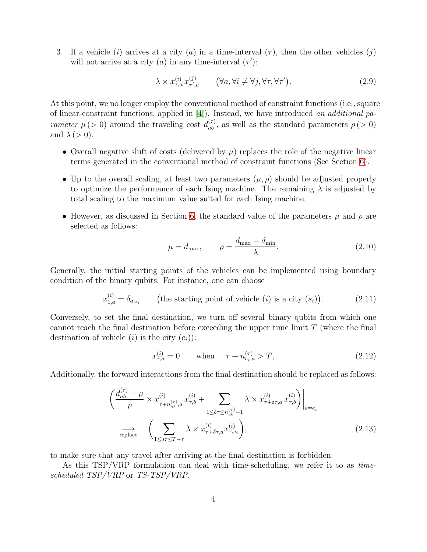3. If a vehicle (i) arrives at a city (a) in a time-interval  $(\tau)$ , then the other vehicles (j) will not arrive at a city (a) in any time-interval  $(\tau')$ :

$$
\lambda \times x_{\tau,a}^{(i)} x_{\tau',a}^{(j)} \qquad (\forall a, \forall i \neq \forall j, \forall \tau, \forall \tau'). \tag{2.9}
$$

At this point, we no longer employ the conventional method of constraint functions (i.e., square of linear-constraint functions, applied in [\[4\]](#page-13-2)). Instead, we have introduced an additional parameter  $\mu$  (> 0) around the traveling cost  $d_{ab}^{(\tau)}$ , as well as the standard parameters  $\rho$  (> 0) and  $\lambda \geq 0$ ).

- Overall negative shift of costs (delivered by  $\mu$ ) replaces the role of the negative linear terms generated in the conventional method of constraint functions (See Section [6\)](#page-10-0).
- Up to the overall scaling, at least two parameters  $(\mu, \rho)$  should be adjusted properly to optimize the performance of each Ising machine. The remaining  $\lambda$  is adjusted by total scaling to the maximum value suited for each Ising machine.
- However, as discussed in Section [6,](#page-10-0) the standard value of the parameters  $\mu$  and  $\rho$  are selected as follows:

<span id="page-4-0"></span>
$$
\mu = d_{\text{max}}, \qquad \rho = \frac{d_{\text{max}} - d_{\text{min}}}{\lambda}.
$$
\n(2.10)

Generally, the initial starting points of the vehicles can be implemented using boundary condition of the binary qubits. For instance, one can choose

$$
x_{1,a}^{(i)} = \delta_{a,s_i} \qquad \text{(the starting point of vehicle } (i) \text{ is a city } (s_i)\text{)}.
$$
 (2.11)

Conversely, to set the final destination, we turn off several binary qubits from which one cannot reach the final destination before exceeding the upper time limit  $T$  (where the final destination of vehicle (*i*) is the city  $(e_i)$ ):

$$
x_{\tau,a}^{(i)} = 0 \qquad \text{when} \qquad \tau + n_{e_i,a}^{(\tau)} > T,\tag{2.12}
$$

Additionally, the forward interactions from the final destination should be replaced as follows:

$$
\left. \left( \frac{d_{ab}^{(\tau)} - \mu}{\rho} \times x_{\tau + n_{ab}^{(\tau)}, a}^{(i)} x_{\tau, b}^{(i)} + \sum_{1 \le \delta \tau \le n_{ab}^{(\tau)} - 1} \lambda \times x_{\tau + \delta \tau, a}^{(i)} x_{\tau, b}^{(i)} \right) \right|_{b = e_i}
$$
\n
$$
\longrightarrow \left. \left( \sum_{1 \le \delta \tau \le T - \tau} \lambda \times x_{\tau + \delta \tau, a}^{(i)} x_{\tau, e_i}^{(i)} \right), \tag{2.13}
$$

to make sure that any travel after arriving at the final destination is forbidden.

As this TSP/VRP formulation can deal with time-scheduling, we refer it to as timescheduled TSP/VRP or TS-TSP/VRP.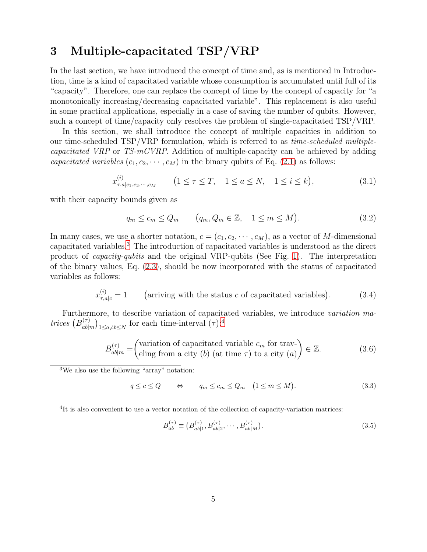## <span id="page-5-0"></span>3 Multiple-capacitated TSP/VRP

In the last section, we have introduced the concept of time and, as is mentioned in Introduction, time is a kind of capacitated variable whose consumption is accumulated until full of its "capacity". Therefore, one can replace the concept of time by the concept of capacity for "a monotonically increasing/decreasing capacitated variable". This replacement is also useful in some practical applications, especially in a case of saving the number of qubits. However, such a concept of time/capacity only resolves the problem of single-capacitated TSP/VRP.

In this section, we shall introduce the concept of multiple capacities in addition to our time-scheduled TSP/VRP formulation, which is referred to as time-scheduled multiplecapacitated VRP or TS-mCVRP. Addition of multiple-capacity can be achieved by adding capacitated variables  $(c_1, c_2, \dots, c_M)$  in the binary qubits of Eq. [\(2.1\)](#page-2-2) as follows:

$$
x_{\tau,a|c_1,c_2,\cdots,c_M}^{(i)} \qquad \left(1 \le \tau \le T, \quad 1 \le a \le N, \quad 1 \le i \le k\right),\tag{3.1}
$$

with their capacity bounds given as

$$
q_m \le c_m \le Q_m \qquad (q_m, Q_m \in \mathbb{Z}, \quad 1 \le m \le M). \tag{3.2}
$$

In many cases, we use a shorter notation,  $c = (c_1, c_2, \dots, c_M)$ , as a vector of M-dimensional capacitated variables.[3](#page-5-1) The introduction of capacitated variables is understood as the direct product of capacity-qubits and the original VRP-qubits (See Fig. [1\)](#page-6-0). The interpretation of the binary values, Eq. [\(2.3\)](#page-3-1), should be now incorporated with the status of capacitated variables as follows:

$$
x_{\tau,a|c}^{(i)} = 1
$$
 (arriving with the status *c* of capacitated variables). (3.4)

Furthermore, to describe variation of capacitated variables, we introduce variation matrices  $(B_{ab|i}^{(\tau)}$  $\binom{(\tau)}{ab|m}_{1\leq a\neq b\leq N}$  for each time-interval  $(\tau)$ :<sup>[4](#page-5-2)</sup>

$$
B_{ab|m}^{(\tau)} = \begin{pmatrix} \text{variation of capacitated variable } c_m \text{ for trav-}\\ \text{eling from a city } (b) \text{ (at time } \tau) \text{ to a city } (a) \end{pmatrix} \in \mathbb{Z}.
$$
 (3.6)

<span id="page-5-1"></span><sup>3</sup>We also use the following "array" notation:

$$
q \le c \le Q \qquad \Leftrightarrow \qquad q_m \le c_m \le Q_m \quad (1 \le m \le M). \tag{3.3}
$$

<span id="page-5-2"></span><sup>4</sup>It is also convenient to use a vector notation of the collection of capacity-variation matrices:

$$
B_{ab}^{(\tau)} \equiv (B_{ab|1}^{(\tau)}, B_{ab|2}^{(\tau)}, \cdots, B_{ab|M}^{(\tau)}).
$$
\n(3.5)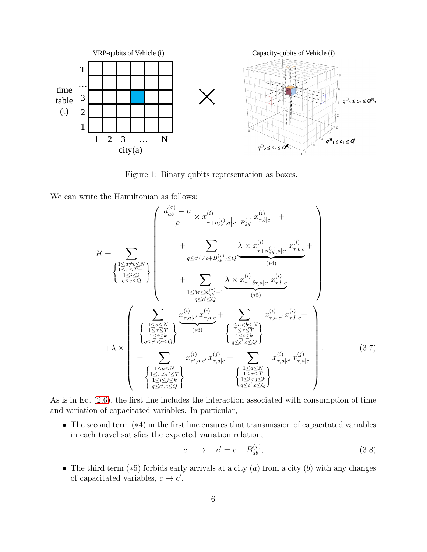

<span id="page-6-0"></span>Figure 1: Binary qubits representation as boxes.

We can write the Hamiltonian as follows:

$$
\mathcal{H} = \sum_{\begin{subarray}{c}1 \leq a \neq b \leq N \\ \text{if } a \neq c \leq Q\end{subarray}} \left(\begin{array}{c} \frac{d_{ab}^{(\tau)} - \mu}{\rho} \times x_{\tau+n_{ab}^{(\tau)},a}^{(i)}|_{c+B_{ab}^{(\tau)}} x_{\tau,b|c}^{(i)} + \\ + \sum_{q \leq c' (\neq c+B_{ab}^{(\tau)}) \leq Q} \frac{\lambda \times x_{\tau+n_{ab}^{(\tau)},a|c'}^{(i)} x_{\tau,b|c}^{(i)}}{(*)} + \\ + \sum_{\begin{subarray}{c}1 \leq i \leq k \\ \text{if } a \leq c' \leq Q\end{subarray}} \frac{\lambda \times x_{\tau+n_{ab}^{(\tau)},a|c'}^{(i)} x_{\tau,b|c}^{(i)}}{(*)} + \\ + \sum_{\begin{subarray}{c}1 \leq b \leq n_{ab}^{(\tau)} - 1 \\ \text{if } a \leq c' \leq Q\end{subarray}} \frac{\lambda \times x_{\tau+n_{ab}^{(\tau)},a|c'}^{(i)} x_{\tau,b|c}^{(i)}}{(*)} \\ + \lambda \times \left(\begin{array}{c} \sum_{\begin{subarray}{c}1 \leq a \leq N \\ 1 \leq r \leq T \\ 1 \leq i \leq k\end{subarray}} \frac{x_{\tau,a|c'}^{(i)} x_{\tau,a|c}^{(i)}}{(*)} + \frac{\lambda \times x_{\tau+n_{ab}^{(\tau)},a|c'}^{(i)} x_{\tau,b|c}^{(i)}}{x_{\tau,a|c'}^{(i)} x_{\tau,b|c}^{(i)}} + \\ + \sum_{\begin{subarray}{c}1 \leq a \leq N \\ 1 \leq i \leq k\end{subarray}} x_{\tau',a|c}^{(i)} x_{\tau,a|c}^{(j)} + \sum_{\begin{subarray}{c}1 \leq a \leq N \\ 1 \leq r \leq T \\ 1 \leq i \leq r \end{subarray}} x_{\tau',a|c}^{(i)} x_{\tau,a|c}^{(j)} x_{\tau,a|c}^{(j)} \end{array}\right).
$$
\n(3.7)

As is in Eq. [\(2.6\)](#page-3-2), the first line includes the interaction associated with consumption of time and variation of capacitated variables. In particular,

• The second term (∗4) in the first line ensures that transmission of capacitated variables in each travel satisfies the expected variation relation,

$$
c \quad \mapsto \quad c' = c + B_{ab}^{(\tau)}, \tag{3.8}
$$

• The third term  $(*5)$  forbids early arrivals at a city  $(a)$  from a city  $(b)$  with any changes of capacitated variables,  $c \to c'$ .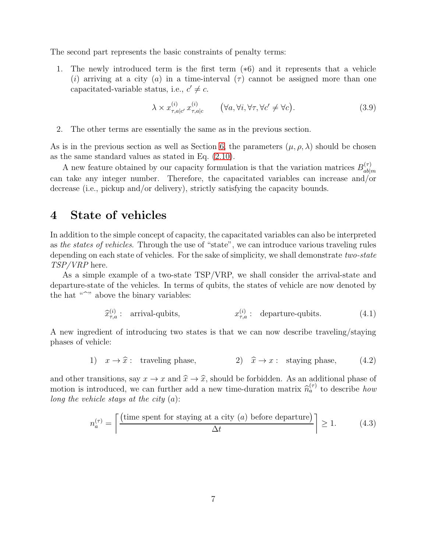The second part represents the basic constraints of penalty terms:

1. The newly introduced term is the first term (∗6) and it represents that a vehicle (i) arriving at a city (a) in a time-interval ( $\tau$ ) cannot be assigned more than one capacitated-variable status, i.e.,  $c' \neq c$ .

$$
\lambda \times x_{\tau,a|c'}^{(i)} x_{\tau,a|c}^{(i)} \qquad (\forall a, \forall i, \forall \tau, \forall c' \neq \forall c).
$$
 (3.9)

2. The other terms are essentially the same as in the previous section.

As is in the previous section as well as Section [6,](#page-10-0) the parameters  $(\mu, \rho, \lambda)$  should be chosen as the same standard values as stated in Eq. [\(2.10\)](#page-4-0).

A new feature obtained by our capacity formulation is that the variation matrices  $B_{ab}^{(\tau)}$  $ab|m$ can take any integer number. Therefore, the capacitated variables can increase and/or decrease (i.e., pickup and/or delivery), strictly satisfying the capacity bounds.

#### <span id="page-7-0"></span>4 State of vehicles

In addition to the simple concept of capacity, the capacitated variables can also be interpreted as the states of vehicles. Through the use of "state", we can introduce various traveling rules depending on each state of vehicles. For the sake of simplicity, we shall demonstrate two-state TSP/VRP here.

As a simple example of a two-state TSP/VRP, we shall consider the arrival-state and departure-state of the vehicles. In terms of qubits, the states of vehicle are now denoted by the hat " $\hat{\ }$ " above the binary variables:

$$
\widehat{x}_{\tau,a}^{(i)}: \quad \text{arrival-qubits}, \qquad x_{\tau,a}^{(i)}: \quad \text{departure-qubits.} \tag{4.1}
$$

A new ingredient of introducing two states is that we can now describe traveling/staying phases of vehicle:

1) 
$$
x \to \hat{x}
$$
: traveling phase, 2)  $\hat{x} \to x$ : staying phase, (4.2)

and other transitions, say  $x \to x$  and  $\hat{x} \to \hat{x}$ , should be forbidden. As an additional phase of motion is introduced, we can further add a new time-duration matrix  $\hat{n}_a^{(\tau)}$  to describe how long the vehicle stays at the city  $(a)$ :

$$
n_a^{(\tau)} = \left\lceil \frac{\text{(time spent for staying at a city (a) before departure)}}{\Delta t} \right\rceil \ge 1. \tag{4.3}
$$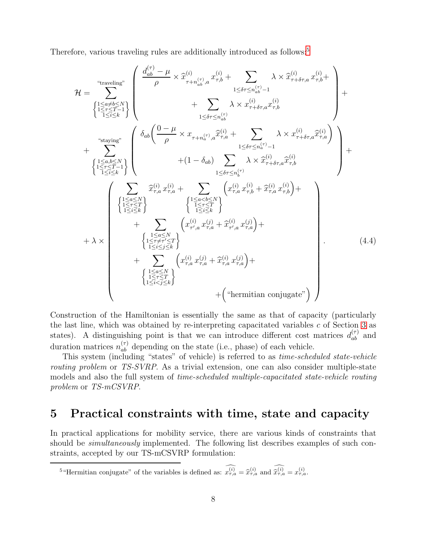Therefore, various traveling rules are additionally introduced as follows:<sup>[5](#page-8-1)</sup>

$$
\mathcal{H} = \sum_{\substack{1 \leq a \neq b \leq N \\ 1 \leq r \leq T-1}}^{\text{``traveling''}} \left\{ \frac{d_{ab}^{(\tau)} - \mu}{\rho} \times \hat{x}_{\tau+n_{ab}^{(\tau)},a}^{(i)} x_{\tau,b}^{(i)} + \sum_{1 \leq \delta \tau \leq n_{ab}^{(\tau)} - 1} \lambda \times \hat{x}_{\tau+n_{\delta},a}^{(i)} x_{\tau,b}^{(i)} + \sum_{1 \leq \delta \tau \leq n_{ab}^{(\tau)} - 1} \lambda \times x_{\tau+n_{\delta},a}^{(i)} x_{\tau,b}^{(i)} + \sum_{1 \leq \delta \tau \leq n_{ab}^{(\tau)} - 1} \lambda \times x_{\tau+n_{\delta},a}^{(i)} x_{\tau,b}^{(i)} + \sum_{1 \leq \delta \tau \leq n_{a}^{(\tau)} - 1} \lambda \times x_{\tau+n_{\delta},a}^{(i)} \hat{x}_{\tau,b}^{(i)} + (1 - \delta_{ab}) \sum_{1 \leq \delta \tau \leq n_{a}^{(\tau)} - 1} \lambda \times \hat{x}_{\tau+n_{\delta},a}^{(i)} \hat{x}_{\tau,b}^{(i)} + \sum_{1 \leq \delta \tau \leq n_{a}^{(\tau)} - 1} \lambda \times x_{\tau+n_{\delta},a}^{(i)} \hat{x}_{\tau,b}^{(i)} + \sum_{1 \leq \delta \tau \leq n_{a}^{(\tau)} - 1} \lambda \times x_{\tau+n_{\delta},a}^{(i)} x_{\tau,b}^{(i)} + \sum_{1 \leq \delta \leq N} \hat{x}_{\tau,n}^{(\tau)} x_{\tau,a}^{(\tau)} + (1 - \delta_{ab}) \sum_{1 \leq \delta \tau \leq n_{a}^{(\tau)} - 1} \lambda \times x_{\tau+n_{\delta},a}^{(i)} x_{\tau,b}^{(i)} + (1 - \delta_{ab}) \sum_{1 \leq \delta \tau \leq n_{a}^{(\tau)} - 1} \lambda \times x_{\tau+n_{\delta},a}^{(i)} x_{\tau,b}^{(i)} + \sum_{1 \leq \delta \leq N} \hat{x}_{\tau+n_{\delta},a}^{(i)} x_{\tau,b}^{(i)} + \sum_{1 \leq \delta \leq T \leq N} \left\{ x_{\tau,n}^{(\tau)} x_{\tau,n}
$$

Construction of the Hamiltonian is essentially the same as that of capacity (particularly the last line, which was obtained by re-interpreting capacitated variables  $c$  of Section [3](#page-5-0) as states). A distinguishing point is that we can introduce different cost matrices  $d_{ab}^{(\tau)}$  and duration matrices  $n_{ab}^{(\tau)}$  depending on the state (i.e., phase) of each vehicle.

This system (including "states" of vehicle) is referred to as time-scheduled state-vehicle routing problem or TS-SVRP. As a trivial extension, one can also consider multiple-state models and also the full system of *time-scheduled multiple-capacitated state-vehicle routing* problem or TS-mCSVRP.

#### <span id="page-8-0"></span>5 Practical constraints with time, state and capacity

In practical applications for mobility service, there are various kinds of constraints that should be *simultaneously* implemented. The following list describes examples of such constraints, accepted by our TS-mCSVRP formulation:

<span id="page-8-1"></span><sup>5</sup> "Hermitian conjugate" of the variables is defined as:  $x_{\tau,a}^{(i)} = \hat{x}_{\tau,a}^{(i)}$  and  $\hat{x}_{\tau,a}^{(i)} = x_{\tau,a}^{(i)}$ .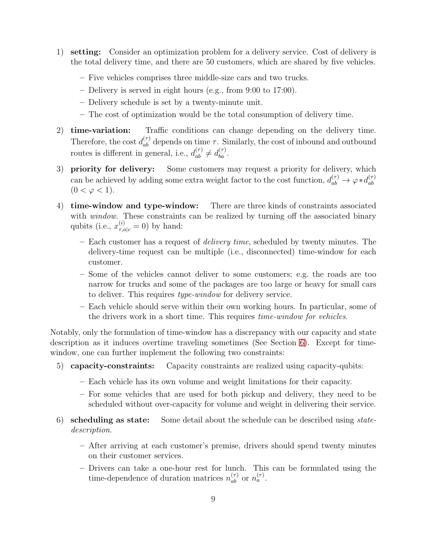- 1) setting: Consider an optimization problem for a delivery service. Cost of delivery is the total delivery time, and there are 50 customers, which are shared by five vehicles.
	- Five vehicles comprises three middle-size cars and two trucks.
	- Delivery is served in eight hours (e.g., from 9:00 to 17:00).
	- Delivery schedule is set by a twenty-minute unit.
	- The cost of optimization would be the total consumption of delivery time.
- 2) time-variation: Traffic conditions can change depending on the delivery time. Therefore, the cost  $d_{ab}^{(\tau)}$  depends on time  $\tau$ . Similarly, the cost of inbound and outbound routes is different in general, i.e.,  $d_{ab}^{(\tau)} \neq d_{ba}^{(\tau)}$ .
- 3) priority for delivery: Some customers may request a priority for delivery, which can be achieved by adding some extra weight factor to the cost function,  $d_{ab}^{(\tau)} \to \varphi * d_{ab}^{(\tau)}$ ab  $(0 < \varphi < 1).$
- 4) time-window and type-window: There are three kinds of constraints associated with *window*. These constraints can be realized by turning off the associated binary qubits (i.e.,  $x_{\tau,a|c}^{(i)} = 0$ ) by hand:
	- Each customer has a request of delivery time, scheduled by twenty minutes. The delivery-time request can be multiple (i.e., disconnected) time-window for each customer.
	- Some of the vehicles cannot deliver to some customers; e.g. the roads are too narrow for trucks and some of the packages are too large or heavy for small cars to deliver. This requires type-window for delivery service.
	- Each vehicle should serve within their own working hours. In particular, some of the drivers work in a short time. This requires time-window for vehicles.

Notably, only the formulation of time-window has a discrepancy with our capacity and state description as it induces overtime traveling sometimes (See Section [6\)](#page-10-0). Except for timewindow, one can further implement the following two constraints:

- 5) capacity-constraints: Capacity constraints are realized using capacity-qubits:
	- Each vehicle has its own volume and weight limitations for their capacity.
	- For some vehicles that are used for both pickup and delivery, they need to be scheduled without over-capacity for volume and weight in delivering their service.
- 6) scheduling as state: Some detail about the schedule can be described using statedescription.
	- After arriving at each customer's premise, drivers should spend twenty minutes on their customer services.
	- Drivers can take a one-hour rest for lunch. This can be formulated using the time-dependence of duration matrices  $n_{ab}^{(\tau)}$  or  $n_a^{(\tau)}$ .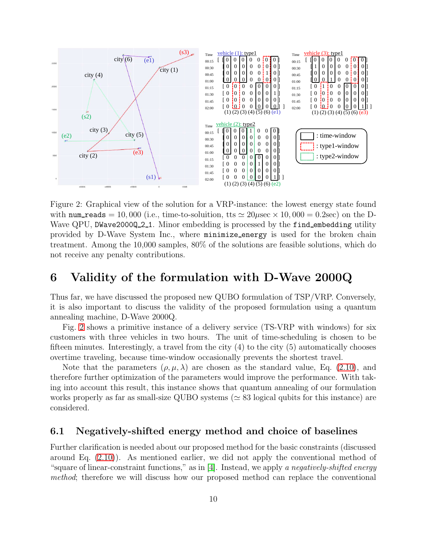

<span id="page-10-2"></span>Figure 2: Graphical view of the solution for a VRP-instance: the lowest energy state found with num reads = 10,000 (i.e., time-to-soluition, tts  $\simeq 20\mu$ sec × 10,000 = 0.2sec) on the D-Wave QPU, DWave2000Q\_2\_1. Minor embedding is processed by the find\_embedding utility provided by D-Wave System Inc., where minimize energy is used for the broken chain treatment. Among the 10,000 samples, 80% of the solutions are feasible solutions, which do not receive any penalty contributions.

#### <span id="page-10-0"></span>6 Validity of the formulation with D-Wave 2000Q

Thus far, we have discussed the proposed new QUBO formulation of TSP/VRP. Conversely, it is also important to discuss the validity of the proposed formulation using a quantum annealing machine, D-Wave 2000Q.

Fig. [2](#page-10-2) shows a primitive instance of a delivery service (TS-VRP with windows) for six customers with three vehicles in two hours. The unit of time-scheduling is chosen to be fifteen minutes. Interestingly, a travel from the city  $(4)$  to the city  $(5)$  automatically chooses overtime traveling, because time-window occasionally prevents the shortest travel.

Note that the parameters  $(\rho, \mu, \lambda)$  are chosen as the standard value, Eq. [\(2.10\)](#page-4-0), and therefore further optimization of the parameters would improve the performance. With taking into account this result, this instance shows that quantum annealing of our formulation works properly as far as small-size QUBO systems ( $\simeq$  83 logical qubits for this instance) are considered.

#### <span id="page-10-1"></span>6.1 Negatively-shifted energy method and choice of baselines

Further clarification is needed about our proposed method for the basic constraints (discussed around Eq. [\(2.10\)](#page-4-0)). As mentioned earlier, we did not apply the conventional method of "square of linear-constraint functions," as in [\[4\]](#page-13-2). Instead, we apply a negatively-shifted energy method; therefore we will discuss how our proposed method can replace the conventional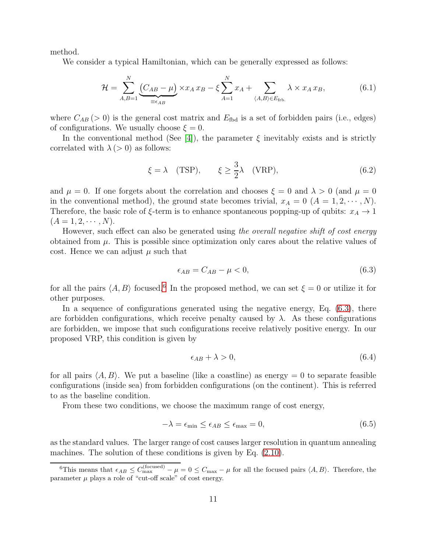method.

We consider a typical Hamiltonian, which can be generally expressed as follows:

$$
\mathcal{H} = \sum_{A,B=1}^{N} \underbrace{(C_{AB} - \mu)}_{\equiv \epsilon_{AB}} \times x_A x_B - \xi \sum_{A=1}^{N} x_A + \sum_{\langle A,B \rangle \in E_{\text{fib.}}} \lambda \times x_A x_B, \tag{6.1}
$$

where  $C_{AB}$  (> 0) is the general cost matrix and  $E_{\text{fbd}}$  is a set of forbidden pairs (i.e., edges) of configurations. We usually choose  $\xi = 0$ .

In the conventional method (See [\[4\]](#page-13-2)), the parameter  $\xi$  inevitably exists and is strictly correlated with  $\lambda$  (> 0) as follows:

$$
\xi = \lambda
$$
 (TSP),  $\xi \ge \frac{3}{2}\lambda$  (VRP), (6.2)

and  $\mu = 0$ . If one forgets about the correlation and chooses  $\xi = 0$  and  $\lambda > 0$  (and  $\mu = 0$ in the conventional method), the ground state becomes trivial,  $x_A = 0$  ( $A = 1, 2, \dots, N$ ). Therefore, the basic role of  $\xi$ -term is to enhance spontaneous popping-up of qubits:  $x_A \rightarrow 1$  $(A = 1, 2, \cdots, N).$ 

However, such effect can also be generated using the overall negative shift of cost energy obtained from  $\mu$ . This is possible since optimization only cares about the relative values of cost. Hence we can adjust  $\mu$  such that

<span id="page-11-1"></span>
$$
\epsilon_{AB} = C_{AB} - \mu < 0,\tag{6.3}
$$

for all the pairs  $\langle A, B \rangle$  focused.<sup>[6](#page-11-0)</sup> In the proposed method, we can set  $\xi = 0$  or utilize it for other purposes.

In a sequence of configurations generated using the negative energy, Eq. [\(6.3\)](#page-11-1), there are forbidden configurations, which receive penalty caused by  $\lambda$ . As these configurations are forbidden, we impose that such configurations receive relatively positive energy. In our proposed VRP, this condition is given by

<span id="page-11-2"></span>
$$
\epsilon_{AB} + \lambda > 0,\tag{6.4}
$$

for all pairs  $\langle A, B \rangle$ . We put a baseline (like a coastline) as energy = 0 to separate feasible configurations (inside sea) from forbidden configurations (on the continent). This is referred to as the baseline condition.

From these two conditions, we choose the maximum range of cost energy,

$$
-\lambda = \epsilon_{\min} \le \epsilon_{AB} \le \epsilon_{\max} = 0, \tag{6.5}
$$

as the standard values. The larger range of cost causes larger resolution in quantum annealing machines. The solution of these conditions is given by Eq. [\(2.10\)](#page-4-0).

<span id="page-11-0"></span><sup>&</sup>lt;sup>6</sup>This means that  $\epsilon_{AB} \leq C_{\text{max}}^{(\text{focused})} - \mu = 0 \leq C_{\text{max}} - \mu$  for all the focused pairs  $\langle A, B \rangle$ . Therefore, the parameter  $\mu$  plays a role of "cut-off scale" of cost energy.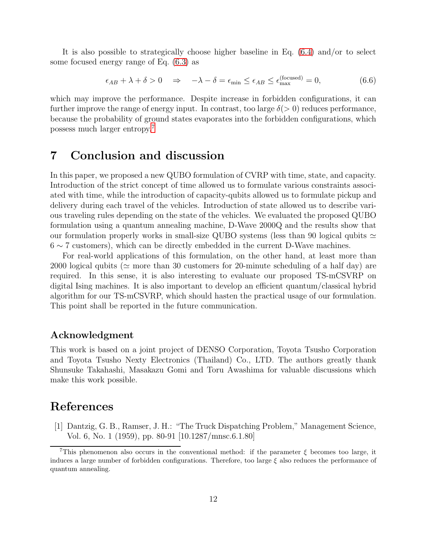It is also possible to strategically choose higher baseline in Eq. [\(6.4\)](#page-11-2) and/or to select some focused energy range of Eq. [\(6.3\)](#page-11-1) as

$$
\epsilon_{AB} + \lambda + \delta > 0 \quad \Rightarrow \quad -\lambda - \delta = \epsilon_{\min} \le \epsilon_{AB} \le \epsilon_{\max}^{\text{(focused)}} = 0,\tag{6.6}
$$

which may improve the performance. Despite increase in forbidden configurations, it can further improve the range of energy input. In contrast, too large  $\delta(>0)$  reduces performance, because the probability of ground states evaporates into the forbidden configurations, which possess much larger entropy.[7](#page-12-2)

## <span id="page-12-0"></span>7 Conclusion and discussion

In this paper, we proposed a new QUBO formulation of CVRP with time, state, and capacity. Introduction of the strict concept of time allowed us to formulate various constraints associated with time, while the introduction of capacity-qubits allowed us to formulate pickup and delivery during each travel of the vehicles. Introduction of state allowed us to describe various traveling rules depending on the state of the vehicles. We evaluated the proposed QUBO formulation using a quantum annealing machine, D-Wave 2000Q and the results show that our formulation properly works in small-size QUBO systems (less than 90 logical qubits  $\simeq$  $6 \sim 7$  customers), which can be directly embedded in the current D-Wave machines.

For real-world applications of this formulation, on the other hand, at least more than 2000 logical qubits ( $\simeq$  more than 30 customers for 20-minute scheduling of a half day) are required. In this sense, it is also interesting to evaluate our proposed TS-mCSVRP on digital Ising machines. It is also important to develop an efficient quantum/classical hybrid algorithm for our TS-mCSVRP, which should hasten the practical usage of our formulation. This point shall be reported in the future communication.

#### Acknowledgment

This work is based on a joint project of DENSO Corporation, Toyota Tsusho Corporation and Toyota Tsusho Nexty Electronics (Thailand) Co., LTD. The authors greatly thank Shunsuke Takahashi, Masakazu Gomi and Toru Awashima for valuable discussions which make this work possible.

#### <span id="page-12-1"></span>References

[1] Dantzig, G. B., Ramser, J. H.: "The Truck Dispatching Problem," Management Science, Vol. 6, No. 1 (1959), pp. 80-91 [10.1287/mnsc.6.1.80]

<span id="page-12-2"></span><sup>&</sup>lt;sup>7</sup>This phenomenon also occurs in the conventional method: if the parameter  $\xi$  becomes too large, it induces a large number of forbidden configurations. Therefore, too large  $\xi$  also reduces the performance of quantum annealing.